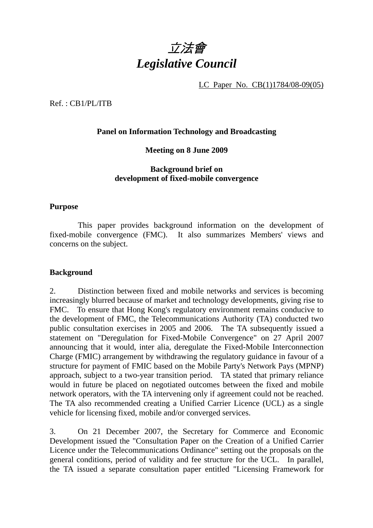

LC Paper No. CB(1)1784/08-09(05)

Ref. : CB1/PL/ITB

### **Panel on Information Technology and Broadcasting**

#### **Meeting on 8 June 2009**

## **Background brief on development of fixed-mobile convergence**

#### **Purpose**

 This paper provides background information on the development of fixed-mobile convergence (FMC). It also summarizes Members' views and concerns on the subject.

#### **Background**

2. Distinction between fixed and mobile networks and services is becoming increasingly blurred because of market and technology developments, giving rise to FMC. To ensure that Hong Kong's regulatory environment remains conducive to the development of FMC, the Telecommunications Authority (TA) conducted two public consultation exercises in 2005 and 2006. The TA subsequently issued a statement on "Deregulation for Fixed-Mobile Convergence" on 27 April 2007 announcing that it would, inter alia, deregulate the Fixed-Mobile Interconnection Charge (FMIC) arrangement by withdrawing the regulatory guidance in favour of a structure for payment of FMIC based on the Mobile Party's Network Pays (MPNP) approach, subject to a two-year transition period. TA stated that primary reliance would in future be placed on negotiated outcomes between the fixed and mobile network operators, with the TA intervening only if agreement could not be reached. The TA also recommended creating a Unified Carrier Licence (UCL) as a single vehicle for licensing fixed, mobile and/or converged services.

3. On 21 December 2007, the Secretary for Commerce and Economic Development issued the "Consultation Paper on the Creation of a Unified Carrier Licence under the Telecommunications Ordinance" setting out the proposals on the general conditions, period of validity and fee structure for the UCL. In parallel, the TA issued a separate consultation paper entitled "Licensing Framework for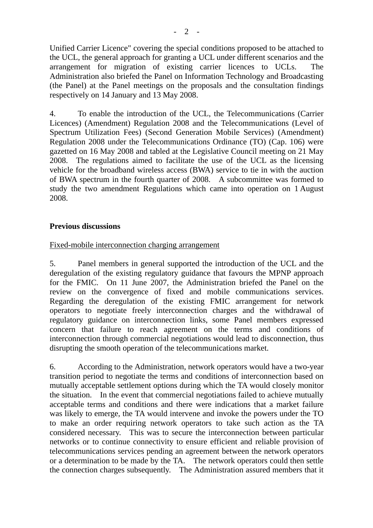Unified Carrier Licence" covering the special conditions proposed to be attached to the UCL, the general approach for granting a UCL under different scenarios and the arrangement for migration of existing carrier licences to UCLs. The Administration also briefed the Panel on Information Technology and Broadcasting (the Panel) at the Panel meetings on the proposals and the consultation findings respectively on 14 January and 13 May 2008.

4. To enable the introduction of the UCL, the Telecommunications (Carrier Licences) (Amendment) Regulation 2008 and the Telecommunications (Level of Spectrum Utilization Fees) (Second Generation Mobile Services) (Amendment) Regulation 2008 under the Telecommunications Ordinance (TO) (Cap. 106) were gazetted on 16 May 2008 and tabled at the Legislative Council meeting on 21 May 2008. The regulations aimed to facilitate the use of the UCL as the licensing vehicle for the broadband wireless access (BWA) service to tie in with the auction of BWA spectrum in the fourth quarter of 2008. A subcommittee was formed to study the two amendment Regulations which came into operation on 1 August 2008.

# **Previous discussions**

## Fixed-mobile interconnection charging arrangement

5. Panel members in general supported the introduction of the UCL and the deregulation of the existing regulatory guidance that favours the MPNP approach for the FMIC. On 11 June 2007, the Administration briefed the Panel on the review on the convergence of fixed and mobile communications services. Regarding the deregulation of the existing FMIC arrangement for network operators to negotiate freely interconnection charges and the withdrawal of regulatory guidance on interconnection links, some Panel members expressed concern that failure to reach agreement on the terms and conditions of interconnection through commercial negotiations would lead to disconnection, thus disrupting the smooth operation of the telecommunications market.

6. According to the Administration, network operators would have a two-year transition period to negotiate the terms and conditions of interconnection based on mutually acceptable settlement options during which the TA would closely monitor the situation. In the event that commercial negotiations failed to achieve mutually acceptable terms and conditions and there were indications that a market failure was likely to emerge, the TA would intervene and invoke the powers under the TO to make an order requiring network operators to take such action as the TA considered necessary. This was to secure the interconnection between particular networks or to continue connectivity to ensure efficient and reliable provision of telecommunications services pending an agreement between the network operators or a determination to be made by the TA. The network operators could then settle the connection charges subsequently. The Administration assured members that it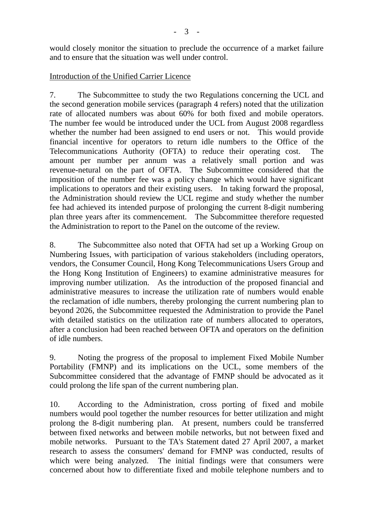would closely monitor the situation to preclude the occurrence of a market failure and to ensure that the situation was well under control.

## Introduction of the Unified Carrier Licence

7. The Subcommittee to study the two Regulations concerning the UCL and the second generation mobile services (paragraph 4 refers) noted that the utilization rate of allocated numbers was about 60% for both fixed and mobile operators. The number fee would be introduced under the UCL from August 2008 regardless whether the number had been assigned to end users or not. This would provide financial incentive for operators to return idle numbers to the Office of the Telecommunications Authority (OFTA) to reduce their operating cost. The amount per number per annum was a relatively small portion and was revenue-netural on the part of OFTA. The Subcommittee considered that the imposition of the number fee was a policy change which would have significant implications to operators and their existing users. In taking forward the proposal, the Administration should review the UCL regime and study whether the number fee had achieved its intended purpose of prolonging the current 8-digit numbering plan three years after its commencement. The Subcommittee therefore requested the Administration to report to the Panel on the outcome of the review.

8. The Subcommittee also noted that OFTA had set up a Working Group on Numbering Issues, with participation of various stakeholders (including operators, vendors, the Consumer Council, Hong Kong Telecommunications Users Group and the Hong Kong Institution of Engineers) to examine administrative measures for improving number utilization. As the introduction of the proposed financial and administrative measures to increase the utilization rate of numbers would enable the reclamation of idle numbers, thereby prolonging the current numbering plan to beyond 2026, the Subcommittee requested the Administration to provide the Panel with detailed statistics on the utilization rate of numbers allocated to operators, after a conclusion had been reached between OFTA and operators on the definition of idle numbers.

9. Noting the progress of the proposal to implement Fixed Mobile Number Portability (FMNP) and its implications on the UCL, some members of the Subcommittee considered that the advantage of FMNP should be advocated as it could prolong the life span of the current numbering plan.

10. According to the Administration, cross porting of fixed and mobile numbers would pool together the number resources for better utilization and might prolong the 8-digit numbering plan. At present, numbers could be transferred between fixed networks and between mobile networks, but not between fixed and mobile networks. Pursuant to the TA's Statement dated 27 April 2007, a market research to assess the consumers' demand for FMNP was conducted, results of which were being analyzed. The initial findings were that consumers were concerned about how to differentiate fixed and mobile telephone numbers and to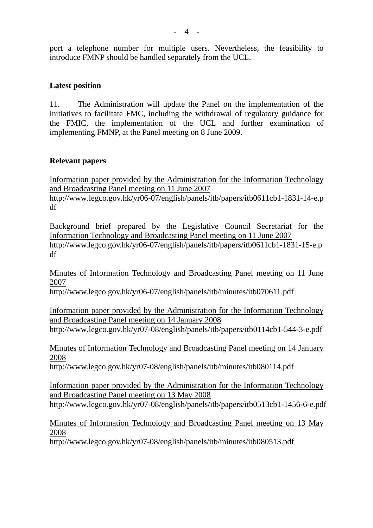port a telephone number for multiple users. Nevertheless, the feasibility to introduce FMNP should be handled separately from the UCL.

## **Latest position**

11. The Administration will update the Panel on the implementation of the initiatives to facilitate FMC, including the withdrawal of regulatory guidance for the FMIC, the implementation of the UCL and further examination of implementing FMNP, at the Panel meeting on 8 June 2009.

## **Relevant papers**

Information paper provided by the Administration for the Information Technology and Broadcasting Panel meeting on 11 June 2007

http://www.legco.gov.hk/yr06-07/english/panels/itb/papers/itb0611cb1-1831-14-e.p df

Background brief prepared by the Legislative Council Secretariat for the Information Technology and Broadcasting Panel meeting on 11 June 2007 http://www.legco.gov.hk/yr06-07/english/panels/itb/papers/itb0611cb1-1831-15-e.p df

Minutes of Information Technology and Broadcasting Panel meeting on 11 June 2007

http://www.legco.gov.hk/yr06-07/english/panels/itb/minutes/itb070611.pdf

Information paper provided by the Administration for the Information Technology and Broadcasting Panel meeting on 14 January 2008 http://www.legco.gov.hk/yr07-08/english/panels/itb/papers/itb0114cb1-544-3-e.pdf

Minutes of Information Technology and Broadcasting Panel meeting on 14 January 2008

http://www.legco.gov.hk/yr07-08/english/panels/itb/minutes/itb080114.pdf

Information paper provided by the Administration for the Information Technology and Broadcasting Panel meeting on 13 May 2008 http://www.legco.gov.hk/yr07-08/english/panels/itb/papers/itb0513cb1-1456-6-e.pdf

# Minutes of Information Technology and Broadcasting Panel meeting on 13 May 2008

http://www.legco.gov.hk/yr07-08/english/panels/itb/minutes/itb080513.pdf